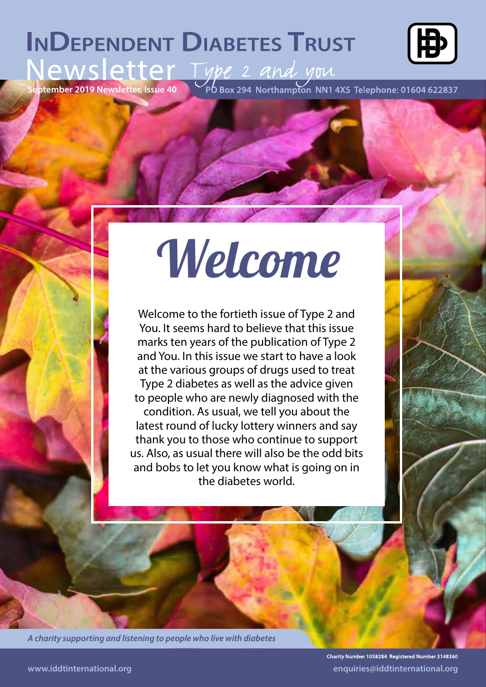# **INDEPENDENT DIABETES TRUST September 2019 Newsletter, Issue 40** September 2019 Newsletter, Issue 40

# Welcome

Welcome to the fortieth issue of Type 2 and You. It seems hard to believe that this issue marks ten years of the publication of Type 2 and You. In this issue we start to have a look at the various groups of drugs used to treat Type 2 diabetes as well as the advice given to people who are newly diagnosed with the condition. As usual, we tell you about the latest round of lucky lottery winners and say thank you to those who continue to support us. Also, as usual there will also be the odd bits and bobs to let you know what is going on in the diabetes world.

*A charity supporting and listening to people who live with diabetes*

Charity Number 1058284 Registered Number 3148360 **www.iddtinternational.org enquiries@iddtinternational.org**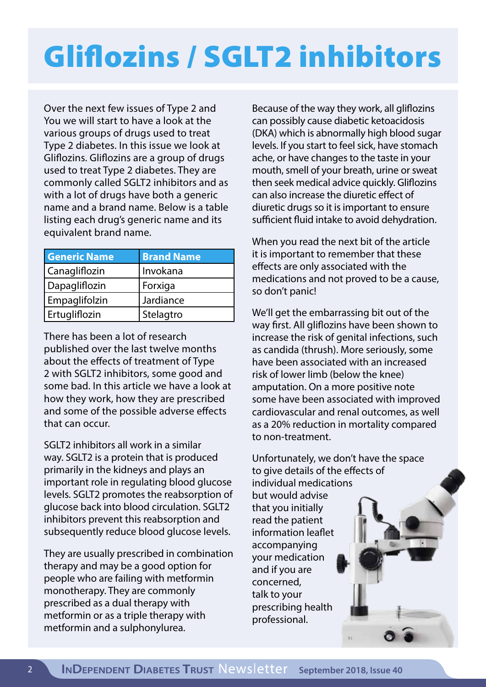## Gliflozins / SGLT2 inhibitors

Over the next few issues of Type 2 and You we will start to have a look at the various groups of drugs used to treat Type 2 diabetes. In this issue we look at Gliflozins. Gliflozins are a group of drugs used to treat Type 2 diabetes. They are commonly called SGLT2 inhibitors and as with a lot of drugs have both a generic name and a brand name. Below is a table listing each drug's generic name and its equivalent brand name.

| <b>Generic Name</b> | <b>Brand Name</b> |
|---------------------|-------------------|
| Canagliflozin       | Invokana          |
| Dapagliflozin       | Forxiga           |
| Empaglifolzin       | Jardiance         |
| Ertugliflozin       | Stelagtro         |

There has been a lot of research published over the last twelve months about the effects of treatment of Type 2 with SGLT2 inhibitors, some good and some bad. In this article we have a look at how they work, how they are prescribed and some of the possible adverse effects that can occur.

SGLT2 inhibitors all work in a similar way. SGLT2 is a protein that is produced primarily in the kidneys and plays an important role in regulating blood glucose levels. SGLT2 promotes the reabsorption of glucose back into blood circulation. SGLT2 inhibitors prevent this reabsorption and subsequently reduce blood glucose levels.

They are usually prescribed in combination therapy and may be a good option for people who are failing with metformin monotherapy. They are commonly prescribed as a dual therapy with metformin or as a triple therapy with metformin and a sulphonylurea.

Because of the way they work, all gliflozins can possibly cause diabetic ketoacidosis (DKA) which is abnormally high blood sugar levels. If you start to feel sick, have stomach ache, or have changes to the taste in your mouth, smell of your breath, urine or sweat then seek medical advice quickly. Gliflozins can also increase the diuretic effect of diuretic drugs so it is important to ensure sufficient fluid intake to avoid dehydration.

When you read the next bit of the article it is important to remember that these effects are only associated with the medications and not proved to be a cause, so don't panic!

We'll get the embarrassing bit out of the way first. All gliflozins have been shown to increase the risk of genital infections, such as candida (thrush). More seriously, some have been associated with an increased risk of lower limb (below the knee) amputation. On a more positive note some have been associated with improved cardiovascular and renal outcomes, as well as a 20% reduction in mortality compared to non-treatment.

Unfortunately, we don't have the space to give details of the effects of individual medications

but would advise that you initially read the patient information leaflet accompanying your medication and if you are concerned, talk to your prescribing health professional.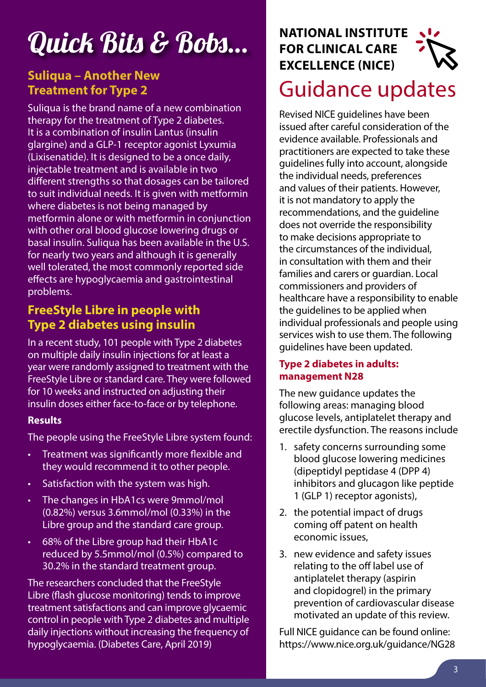## **Quick Bits & Bobs...** FOR CLINICAL CARE

#### **Suliqua – Another New Treatment for Type 2**

Suliqua is the brand name of a new combination therapy for the treatment of Type 2 diabetes. It is a combination of insulin Lantus (insulin glargine) and a GLP-1 receptor agonist Lyxumia (Lixisenatide). It is designed to be a once daily, injectable treatment and is available in two different strengths so that dosages can be tailored to suit individual needs. It is given with metformin where diabetes is not being managed by metformin alone or with metformin in conjunction with other oral blood glucose lowering drugs or basal insulin. Suliqua has been available in the U.S. for nearly two years and although it is generally well tolerated, the most commonly reported side effects are hypoglycaemia and gastrointestinal problems.

#### **FreeStyle Libre in people with Type 2 diabetes using insulin**

In a recent study, 101 people with Type 2 diabetes on multiple daily insulin injections for at least a year were randomly assigned to treatment with the FreeStyle Libre or standard care. They were followed for 10 weeks and instructed on adjusting their insulin doses either face-to-face or by telephone.

#### **Results**

The people using the FreeStyle Libre system found:

- Treatment was significantly more flexible and they would recommend it to other people.
- Satisfaction with the system was high.
- The changes in HbA1cs were 9mmol/mol (0.82%) versus 3.6mmol/mol (0.33%) in the Libre group and the standard care group.
- 68% of the Libre group had their HbA1c reduced by 5.5mmol/mol (0.5%) compared to 30.2% in the standard treatment group.

The researchers concluded that the FreeStyle Libre (flash glucose monitoring) tends to improve treatment satisfactions and can improve glycaemic control in people with Type 2 diabetes and multiple daily injections without increasing the frequency of hypoglycaemia. (Diabetes Care, April 2019)

### **FOR CLINICAL CARE EXCELLENCE (NICE)** Guidance updates

Revised NICE guidelines have been issued after careful consideration of the evidence available. Professionals and practitioners are expected to take these guidelines fully into account, alongside the individual needs, preferences and values of their patients. However, it is not mandatory to apply the recommendations, and the guideline does not override the responsibility to make decisions appropriate to the circumstances of the individual, in consultation with them and their families and carers or guardian. Local commissioners and providers of healthcare have a responsibility to enable the guidelines to be applied when individual professionals and people using services wish to use them. The following guidelines have been updated.

#### **Type 2 diabetes in adults: management N28**

The new guidance updates the following areas: managing blood glucose levels, antiplatelet therapy and erectile dysfunction. The reasons include

- 1. safety concerns surrounding some blood glucose lowering medicines (dipeptidyl peptidase 4 (DPP 4) inhibitors and glucagon like peptide 1 (GLP 1) receptor agonists),
- 2. the potential impact of drugs coming off patent on health economic issues,
- 3. new evidence and safety issues relating to the off label use of antiplatelet therapy (aspirin and clopidogrel) in the primary prevention of cardiovascular disease motivated an update of this review.

Full NICE guidance can be found online: https://www.nice.org.uk/guidance/NG28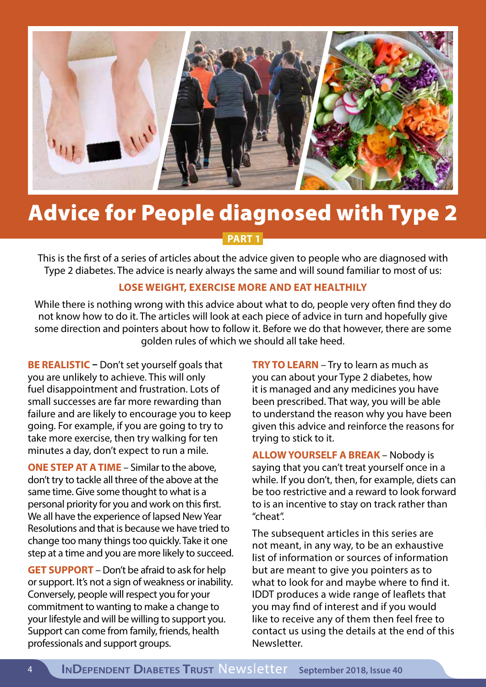

### **PART 1** Advice for People diagnosed with Type 2

This is the first of a series of articles about the advice given to people who are diagnosed with Type 2 diabetes. The advice is nearly always the same and will sound familiar to most of us:

#### **LOSE WEIGHT, EXERCISE MORE AND EAT HEALTHILY**

While there is nothing wrong with this advice about what to do, people very often find they do not know how to do it. The articles will look at each piece of advice in turn and hopefully give some direction and pointers about how to follow it. Before we do that however, there are some golden rules of which we should all take heed.

**BE REALISTIC –** Don't set yourself goals that you are unlikely to achieve. This will only fuel disappointment and frustration. Lots of small successes are far more rewarding than failure and are likely to encourage you to keep going. For example, if you are going to try to take more exercise, then try walking for ten minutes a day, don't expect to run a mile.

**ONE STEP AT A TIME** – Similar to the above, don't try to tackle all three of the above at the same time. Give some thought to what is a personal priority for you and work on this first. We all have the experience of lapsed New Year Resolutions and that is because we have tried to change too many things too quickly. Take it one step at a time and you are more likely to succeed.

**GET SUPPORT** – Don't be afraid to ask for help or support. It's not a sign of weakness or inability. Conversely, people will respect you for your commitment to wanting to make a change to your lifestyle and will be willing to support you. Support can come from family, friends, health professionals and support groups.

**TRY TO LEARN** – Try to learn as much as you can about your Type 2 diabetes, how it is managed and any medicines you have been prescribed. That way, you will be able to understand the reason why you have been given this advice and reinforce the reasons for trying to stick to it.

**ALLOW YOURSELF A BREAK** – Nobody is saying that you can't treat yourself once in a while. If you don't, then, for example, diets can be too restrictive and a reward to look forward to is an incentive to stay on track rather than "cheat".

The subsequent articles in this series are not meant, in any way, to be an exhaustive list of information or sources of information but are meant to give you pointers as to what to look for and maybe where to find it. IDDT produces a wide range of leaflets that you may find of interest and if you would like to receive any of them then feel free to contact us using the details at the end of this Newsletter.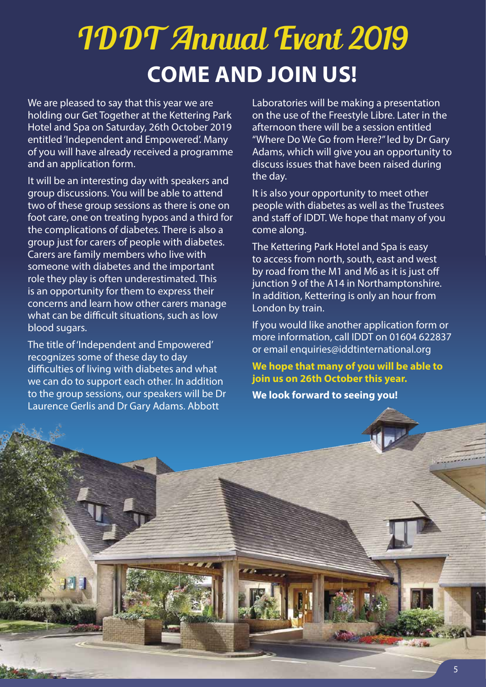## IDDT Annual Event 2019 **COME AND JOIN US!**

We are pleased to say that this year we are holding our Get Together at the Kettering Park Hotel and Spa on Saturday, 26th October 2019 entitled 'Independent and Empowered'. Many of you will have already received a programme and an application form.

It will be an interesting day with speakers and group discussions. You will be able to attend two of these group sessions as there is one on foot care, one on treating hypos and a third for the complications of diabetes. There is also a group just for carers of people with diabetes. Carers are family members who live with someone with diabetes and the important role they play is often underestimated. This is an opportunity for them to express their concerns and learn how other carers manage what can be difficult situations, such as low blood sugars.

The title of 'Independent and Empowered' recognizes some of these day to day difficulties of living with diabetes and what we can do to support each other. In addition to the group sessions, our speakers will be Dr Laurence Gerlis and Dr Gary Adams. Abbott

Laboratories will be making a presentation on the use of the Freestyle Libre. Later in the afternoon there will be a session entitled "Where Do We Go from Here?" led by Dr Gary Adams, which will give you an opportunity to discuss issues that have been raised during the day.

It is also your opportunity to meet other people with diabetes as well as the Trustees and staff of IDDT. We hope that many of you come along.

The Kettering Park Hotel and Spa is easy to access from north, south, east and west by road from the M1 and M6 as it is just off junction 9 of the A14 in Northamptonshire. In addition, Kettering is only an hour from London by train.

If you would like another application form or more information, call IDDT on 01604 622837 or email enquiries@iddtinternational.org

#### **We hope that many of you will be able to join us on 26th October this year.**

#### **We look forward to seeing you!**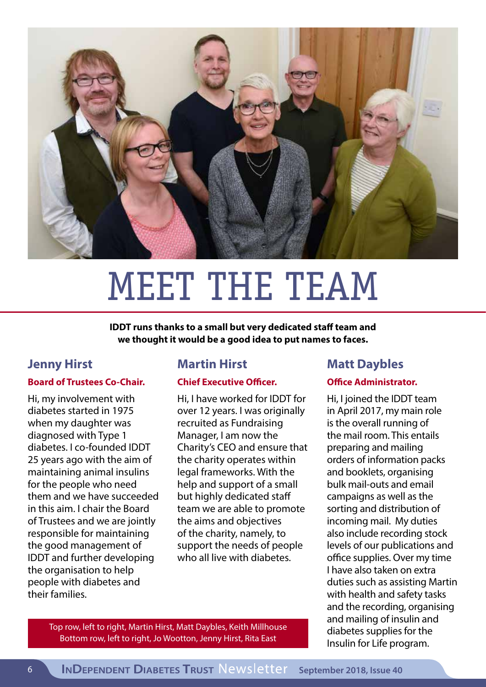

# MEET THE TEAM

**IDDT runs thanks to a small but very dedicated staff team and we thought it would be a good idea to put names to faces.**

#### **Jenny Hirst**

#### **Board of Trustees Co-Chair.**

Hi, my involvement with diabetes started in 1975 when my daughter was diagnosed with Type 1 diabetes. I co-founded IDDT 25 years ago with the aim of maintaining animal insulins for the people who need them and we have succeeded in this aim. I chair the Board of Trustees and we are jointly responsible for maintaining the good management of IDDT and further developing the organisation to help people with diabetes and their families.

#### **Martin Hirst**

#### **Chief Executive Officer.**

Hi, I have worked for IDDT for over 12 years. I was originally recruited as Fundraising Manager, I am now the Charity's CEO and ensure that the charity operates within legal frameworks. With the help and support of a small but highly dedicated staff team we are able to promote the aims and objectives of the charity, namely, to support the needs of people who all live with diabetes.

#### **Matt Daybles**

#### **Office Administrator.**

Hi, I joined the IDDT team in April 2017, my main role is the overall running of the mail room. This entails preparing and mailing orders of information packs and booklets, organising bulk mail-outs and email campaigns as well as the sorting and distribution of incoming mail. My duties also include recording stock levels of our publications and office supplies. Over my time I have also taken on extra duties such as assisting Martin with health and safety tasks and the recording, organising and mailing of insulin and diabetes supplies for the Insulin for Life program.

Top row, left to right, Martin Hirst, Matt Daybles, Keith Millhouse Bottom row, left to right, Jo Wootton, Jenny Hirst, Rita East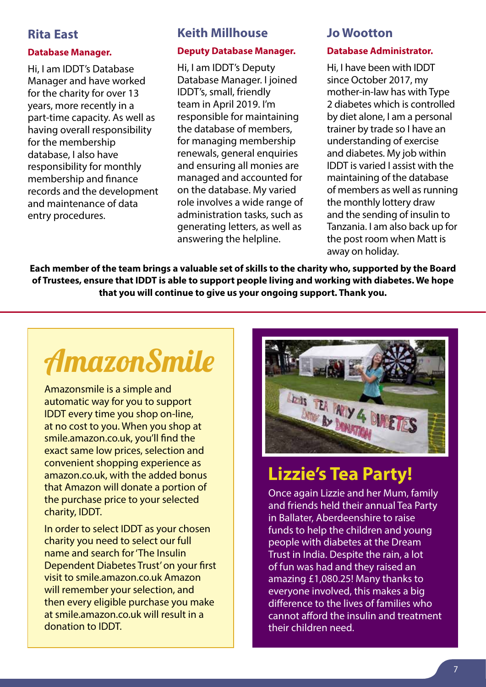#### **Rita East**

#### **Database Manager.**

Hi, I am IDDT's Database Manager and have worked for the charity for over 13 years, more recently in a part-time capacity. As well as having overall responsibility for the membership database, I also have responsibility for monthly membership and finance records and the development and maintenance of data entry procedures.

#### **Keith Millhouse**

#### **Deputy Database Manager.**

Hi, I am IDDT's Deputy Database Manager. I joined IDDT's, small, friendly team in April 2019. I'm responsible for maintaining the database of members, for managing membership renewals, general enquiries and ensuring all monies are managed and accounted for on the database. My varied role involves a wide range of administration tasks, such as generating letters, as well as answering the helpline.

#### **Jo Wootton**

#### **Database Administrator.**

Hi, I have been with IDDT since October 2017, my mother-in-law has with Type 2 diabetes which is controlled by diet alone, I am a personal trainer by trade so I have an understanding of exercise and diabetes. My job within IDDT is varied I assist with the maintaining of the database of members as well as running the monthly lottery draw and the sending of insulin to Tanzania. I am also back up for the post room when Matt is away on holiday.

**Each member of the team brings a valuable set of skills to the charity who, supported by the Board of Trustees, ensure that IDDT is able to support people living and working with diabetes. We hope that you will continue to give us your ongoing support. Thank you.**

## AmazonSmile

Amazonsmile is a simple and automatic way for you to support IDDT every time you shop on-line, at no cost to you. When you shop at smile.amazon.co.uk, you'll find the exact same low prices, selection and convenient shopping experience as amazon.co.uk, with the added bonus that Amazon will donate a portion of the purchase price to your selected charity, IDDT.

In order to select IDDT as your chosen charity you need to select our full name and search for 'The Insulin Dependent Diabetes Trust' on your first visit to smile.amazon.co.uk Amazon will remember your selection, and then every eligible purchase you make at smile.amazon.co.uk will result in a donation to IDDT.



### **Lizzie's Tea Party!**

Once again Lizzie and her Mum, family and friends held their annual Tea Party in Ballater, Aberdeenshire to raise funds to help the children and young people with diabetes at the Dream Trust in India. Despite the rain, a lot of fun was had and they raised an amazing £1,080.25! Many thanks to everyone involved, this makes a big difference to the lives of families who cannot afford the insulin and treatment their children need.